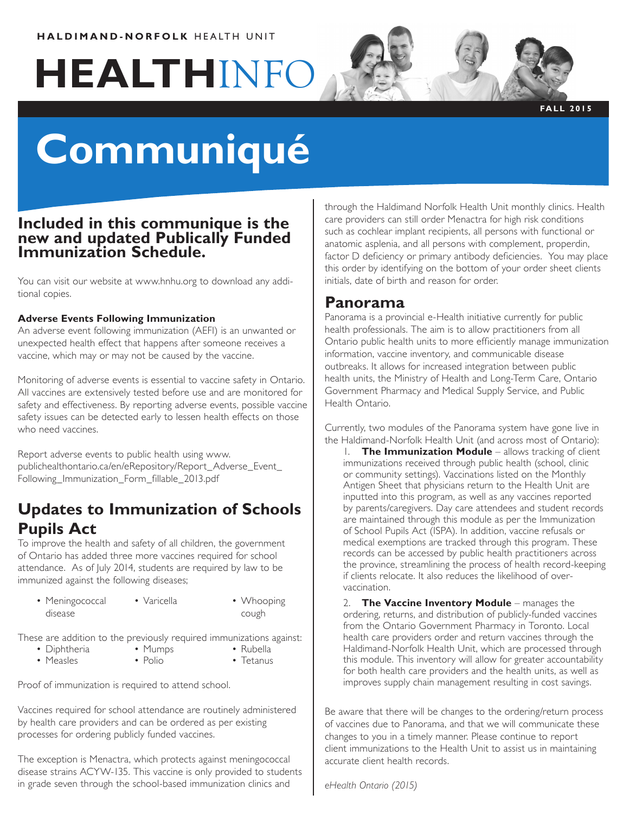### **HALDIMAND-NORFOLK** HEALTH UNIT

# **HEALTH**INFO



**FALL 2015**

# **Communiqué**

### **Included in this communique is the new and updated Publically Funded Immunization Schedule.**

You can visit our website at www.hnhu.org to download any additional copies.

### **Adverse Events Following Immunization**

An adverse event following immunization (AEFI) is an unwanted or unexpected health effect that happens after someone receives a vaccine, which may or may not be caused by the vaccine.

Monitoring of adverse events is essential to vaccine safety in Ontario. All vaccines are extensively tested before use and are monitored for safety and effectiveness. By reporting adverse events, possible vaccine safety issues can be detected early to lessen health effects on those who need vaccines.

Report adverse events to public health using www. publichealthontario.ca/en/eRepository/Report\_Adverse\_Event\_ Following\_Immunization\_Form\_fillable\_2013.pdf

## **Updates to Immunization of Schools Pupils Act**

To improve the health and safety of all children, the government of Ontario has added three more vaccines required for school attendance. As of July 2014, students are required by law to be immunized against the following diseases;

- Meningococcal disease • Varicella • Whooping
- cough
- These are addition to the previously required immunizations against:
	- Diphtheria • Measles
- Mumps • Polio
- Rubella • Tetanus

Proof of immunization is required to attend school.

Vaccines required for school attendance are routinely administered by health care providers and can be ordered as per existing processes for ordering publicly funded vaccines.

The exception is Menactra, which protects against meningococcal disease strains ACYW-135. This vaccine is only provided to students in grade seven through the school-based immunization clinics and

through the Haldimand Norfolk Health Unit monthly clinics. Health care providers can still order Menactra for high risk conditions such as cochlear implant recipients, all persons with functional or anatomic asplenia, and all persons with complement, properdin, factor D deficiency or primary antibody deficiencies. You may place this order by identifying on the bottom of your order sheet clients initials, date of birth and reason for order.

### **Panorama**

Panorama is a provincial e-Health initiative currently for public health professionals. The aim is to allow practitioners from all Ontario public health units to more efficiently manage immunization information, vaccine inventory, and communicable disease outbreaks. It allows for increased integration between public health units, the Ministry of Health and Long-Term Care, Ontario Government Pharmacy and Medical Supply Service, and Public Health Ontario.

Currently, two modules of the Panorama system have gone live in the Haldimand-Norfolk Health Unit (and across most of Ontario):

1. **The Immunization Module** – allows tracking of client immunizations received through public health (school, clinic or community settings). Vaccinations listed on the Monthly Antigen Sheet that physicians return to the Health Unit are inputted into this program, as well as any vaccines reported by parents/caregivers. Day care attendees and student records are maintained through this module as per the Immunization of School Pupils Act (ISPA). In addition, vaccine refusals or medical exemptions are tracked through this program. These records can be accessed by public health practitioners across the province, streamlining the process of health record-keeping if clients relocate. It also reduces the likelihood of overvaccination.

2. **The Vaccine Inventory Module** – manages the ordering, returns, and distribution of publicly-funded vaccines from the Ontario Government Pharmacy in Toronto. Local health care providers order and return vaccines through the Haldimand-Norfolk Health Unit, which are processed through this module. This inventory will allow for greater accountability for both health care providers and the health units, as well as improves supply chain management resulting in cost savings.

Be aware that there will be changes to the ordering/return process of vaccines due to Panorama, and that we will communicate these changes to you in a timely manner. Please continue to report client immunizations to the Health Unit to assist us in maintaining accurate client health records.

*eHealth Ontario (2015)*